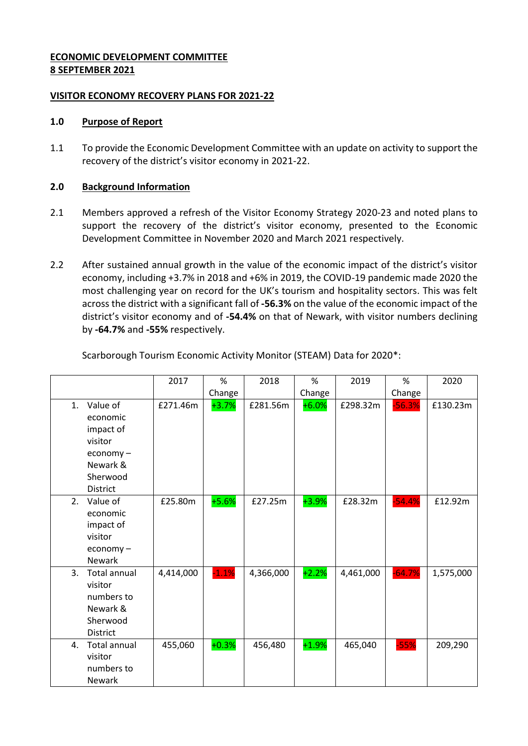## **ECONOMIC DEVELOPMENT COMMITTEE 8 SEPTEMBER 2021**

## **VISITOR ECONOMY RECOVERY PLANS FOR 2021-22**

### **1.0 Purpose of Report**

1.1 To provide the Economic Development Committee with an update on activity to support the recovery of the district's visitor economy in 2021-22.

## **2.0 Background Information**

- 2.1 Members approved a refresh of the Visitor Economy Strategy 2020-23 and noted plans to support the recovery of the district's visitor economy, presented to the Economic Development Committee in November 2020 and March 2021 respectively.
- 2.2 After sustained annual growth in the value of the economic impact of the district's visitor economy, including +3.7% in 2018 and +6% in 2019, the COVID-19 pandemic made 2020 the most challenging year on record for the UK's tourism and hospitality sectors. This was felt across the district with a significant fall of **-56.3%** on the value of the economic impact of the district's visitor economy and of **-54.4%** on that of Newark, with visitor numbers declining by **-64.7%** and **-55%** respectively.

|    |                                                                                                                  | 2017      | %       | 2018      | %       | 2019      | %        | 2020      |
|----|------------------------------------------------------------------------------------------------------------------|-----------|---------|-----------|---------|-----------|----------|-----------|
|    |                                                                                                                  |           | Change  |           | Change  |           | Change   |           |
| 1. | Value of<br>economic<br>impact of<br>visitor<br>$e_{\text{conomy}}$ –<br>Newark &<br>Sherwood<br><b>District</b> | £271.46m  | $+3.7%$ | £281.56m  | $+6.0%$ | £298.32m  | $-56.3%$ | £130.23m  |
| 2. | Value of<br>economic<br>impact of<br>visitor<br>economy-<br><b>Newark</b>                                        | £25.80m   | $+5.6%$ | £27.25m   | $+3.9%$ | £28.32m   | $-54.4%$ | £12.92m   |
| 3. | <b>Total annual</b><br>visitor<br>numbers to<br>Newark &<br>Sherwood<br><b>District</b>                          | 4,414,000 | $-1.1%$ | 4,366,000 | $+2.2%$ | 4,461,000 | $-64.7%$ | 1,575,000 |
| 4. | <b>Total annual</b><br>visitor<br>numbers to<br>Newark                                                           | 455,060   | $+0.3%$ | 456,480   | $+1.9%$ | 465,040   | $-55%$   | 209,290   |

Scarborough Tourism Economic Activity Monitor (STEAM) Data for 2020\*: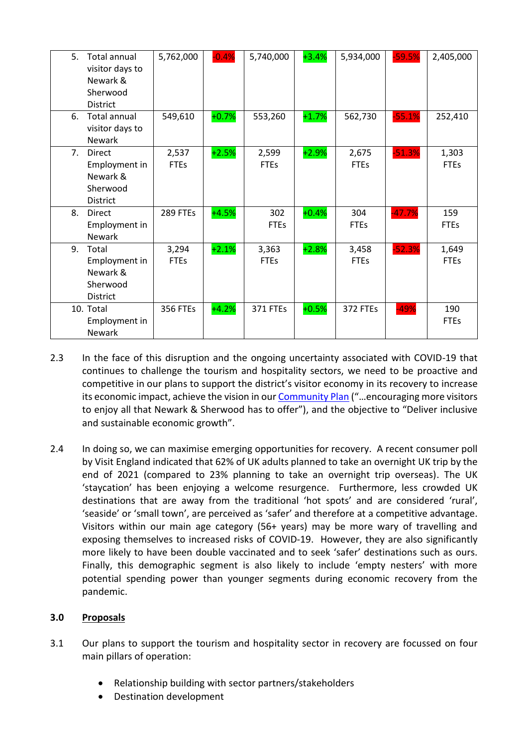| 5. | <b>Total annual</b><br>visitor days to<br>Newark &<br>Sherwood<br><b>District</b> | 5,762,000            | $-0.4%$ | 5,740,000            | $+3.4%$ | 5,934,000            | $-59.5%$ | 2,405,000            |
|----|-----------------------------------------------------------------------------------|----------------------|---------|----------------------|---------|----------------------|----------|----------------------|
| 6. | <b>Total annual</b><br>visitor days to<br><b>Newark</b>                           | 549,610              | $+0.7%$ | 553,260              | $+1.7%$ | 562,730              | $-55.1%$ | 252,410              |
| 7. | <b>Direct</b><br>Employment in<br>Newark &<br>Sherwood<br><b>District</b>         | 2,537<br><b>FTEs</b> | $+2.5%$ | 2,599<br><b>FTEs</b> | $+2.9%$ | 2,675<br><b>FTEs</b> | $-51.3%$ | 1,303<br><b>FTEs</b> |
| 8. | <b>Direct</b><br>Employment in<br><b>Newark</b>                                   | 289 FTEs             | $+4.5%$ | 302<br><b>FTEs</b>   | $+0.4%$ | 304<br><b>FTEs</b>   | $-47.7%$ | 159<br><b>FTEs</b>   |
| 9. | Total<br>Employment in<br>Newark &<br>Sherwood<br><b>District</b>                 | 3,294<br><b>FTEs</b> | $+2.1%$ | 3,363<br><b>FTEs</b> | $+2.8%$ | 3,458<br><b>FTEs</b> | $-52.3%$ | 1,649<br><b>FTEs</b> |
|    | 10. Total<br>Employment in<br><b>Newark</b>                                       | <b>356 FTEs</b>      | $+4.2%$ | <b>371 FTEs</b>      | $+0.5%$ | 372 FTEs             | $-49%$   | 190<br><b>FTEs</b>   |

- 2.3 In the face of this disruption and the ongoing uncertainty associated with COVID-19 that continues to challenge the tourism and hospitality sectors, we need to be proactive and competitive in our plans to support the district's visitor economy in its recovery to increase its economic impact, achieve the vision in our [Community Plan](https://www.newark-sherwooddc.gov.uk/media/newarkandsherwood/imagesandfiles/strategiesandpolicies/pdfs/13.10.20%20-%20Community%20Plan%20Appendix%20-%20Final.pdf) ("…encouraging more visitors to enjoy all that Newark & Sherwood has to offer"), and the objective to "Deliver inclusive and sustainable economic growth".
- 2.4 In doing so, we can maximise emerging opportunities for recovery. A recent consumer poll by Visit England indicated that 62% of UK adults planned to take an overnight UK trip by the end of 2021 (compared to 23% planning to take an overnight trip overseas). The UK 'staycation' has been enjoying a welcome resurgence. Furthermore, less crowded UK destinations that are away from the traditional 'hot spots' and are considered 'rural', 'seaside' or 'small town', are perceived as 'safer' and therefore at a competitive advantage. Visitors within our main age category (56+ years) may be more wary of travelling and exposing themselves to increased risks of COVID-19. However, they are also significantly more likely to have been double vaccinated and to seek 'safer' destinations such as ours. Finally, this demographic segment is also likely to include 'empty nesters' with more potential spending power than younger segments during economic recovery from the pandemic.

# **3.0 Proposals**

- 3.1 Our plans to support the tourism and hospitality sector in recovery are focussed on four main pillars of operation:
	- Relationship building with sector partners/stakeholders
	- Destination development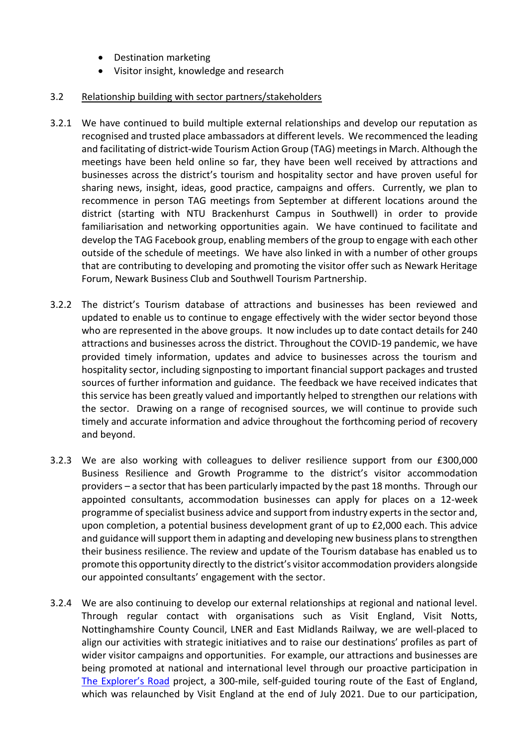- Destination marketing
- Visitor insight, knowledge and research

## 3.2 Relationship building with sector partners/stakeholders

- 3.2.1 We have continued to build multiple external relationships and develop our reputation as recognised and trusted place ambassadors at different levels. We recommenced the leading and facilitating of district-wide Tourism Action Group (TAG) meetings in March. Although the meetings have been held online so far, they have been well received by attractions and businesses across the district's tourism and hospitality sector and have proven useful for sharing news, insight, ideas, good practice, campaigns and offers. Currently, we plan to recommence in person TAG meetings from September at different locations around the district (starting with NTU Brackenhurst Campus in Southwell) in order to provide familiarisation and networking opportunities again. We have continued to facilitate and develop the TAG Facebook group, enabling members of the group to engage with each other outside of the schedule of meetings. We have also linked in with a number of other groups that are contributing to developing and promoting the visitor offer such as Newark Heritage Forum, Newark Business Club and Southwell Tourism Partnership.
- 3.2.2 The district's Tourism database of attractions and businesses has been reviewed and updated to enable us to continue to engage effectively with the wider sector beyond those who are represented in the above groups. It now includes up to date contact details for 240 attractions and businesses across the district. Throughout the COVID-19 pandemic, we have provided timely information, updates and advice to businesses across the tourism and hospitality sector, including signposting to important financial support packages and trusted sources of further information and guidance. The feedback we have received indicates that this service has been greatly valued and importantly helped to strengthen our relations with the sector. Drawing on a range of recognised sources, we will continue to provide such timely and accurate information and advice throughout the forthcoming period of recovery and beyond.
- 3.2.3 We are also working with colleagues to deliver resilience support from our £300,000 Business Resilience and Growth Programme to the district's visitor accommodation providers – a sector that has been particularly impacted by the past 18 months. Through our appointed consultants, accommodation businesses can apply for places on a 12-week programme ofspecialist business advice and support from industry experts in the sector and, upon completion, a potential business development grant of up to £2,000 each. This advice and guidance will support them in adapting and developing new business plansto strengthen their business resilience. The review and update of the Tourism database has enabled us to promote this opportunity directly to the district's visitor accommodation providers alongside our appointed consultants' engagement with the sector.
- 3.2.4 We are also continuing to develop our external relationships at regional and national level. Through regular contact with organisations such as Visit England, Visit Notts, Nottinghamshire County Council, LNER and East Midlands Railway, we are well-placed to align our activities with strategic initiatives and to raise our destinations' profiles as part of wider visitor campaigns and opportunities. For example, our attractions and businesses are being promoted at national and international level through our proactive participation in [The Explorer's Road](https://www.explorersroad.com/) project, a 300-mile, self-guided touring route of the East of England, which was relaunched by Visit England at the end of July 2021. Due to our participation,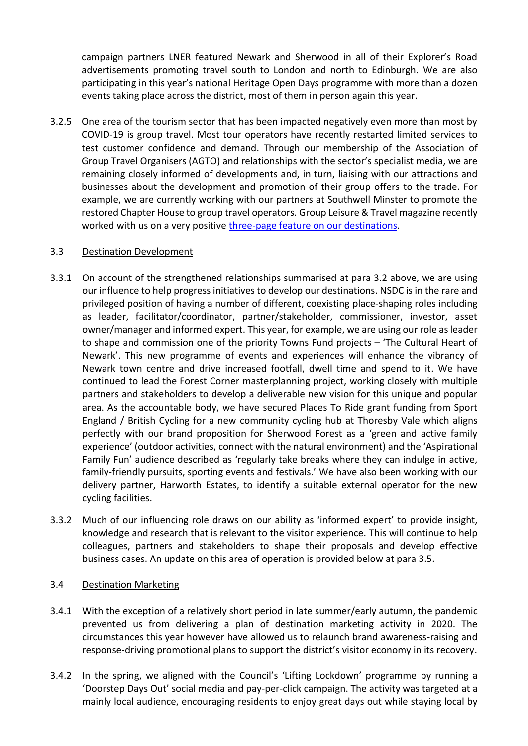campaign partners LNER featured Newark and Sherwood in all of their Explorer's Road advertisements promoting travel south to London and north to Edinburgh. We are also participating in this year's national Heritage Open Days programme with more than a dozen events taking place across the district, most of them in person again this year.

3.2.5 One area of the tourism sector that has been impacted negatively even more than most by COVID-19 is group travel. Most tour operators have recently restarted limited services to test customer confidence and demand. Through our membership of the Association of Group Travel Organisers (AGTO) and relationships with the sector's specialist media, we are remaining closely informed of developments and, in turn, liaising with our attractions and businesses about the development and promotion of their group offers to the trade. For example, we are currently working with our partners at Southwell Minster to promote the restored Chapter House to group travel operators. Group Leisure & Travel magazine recently worked with us on a very positive [three-page feature on our destinations.](https://edition.pagesuite-professional.co.uk/html5/reader/production/default.aspx?pubname=&edid=017fb60e-a4cd-4b42-bca2-b43cbaa58d10&pnum=17)

## 3.3 Destination Development

- 3.3.1 On account of the strengthened relationships summarised at para 3.2 above, we are using our influence to help progress initiatives to develop our destinations. NSDC is in the rare and privileged position of having a number of different, coexisting place-shaping roles including as leader, facilitator/coordinator, partner/stakeholder, commissioner, investor, asset owner/manager and informed expert. This year, for example, we are using our role as leader to shape and commission one of the priority Towns Fund projects – 'The Cultural Heart of Newark'. This new programme of events and experiences will enhance the vibrancy of Newark town centre and drive increased footfall, dwell time and spend to it. We have continued to lead the Forest Corner masterplanning project, working closely with multiple partners and stakeholders to develop a deliverable new vision for this unique and popular area. As the accountable body, we have secured Places To Ride grant funding from Sport England / British Cycling for a new community cycling hub at Thoresby Vale which aligns perfectly with our brand proposition for Sherwood Forest as a 'green and active family experience' (outdoor activities, connect with the natural environment) and the 'Aspirational Family Fun' audience described as 'regularly take breaks where they can indulge in active, family-friendly pursuits, sporting events and festivals.' We have also been working with our delivery partner, Harworth Estates, to identify a suitable external operator for the new cycling facilities.
- 3.3.2 Much of our influencing role draws on our ability as 'informed expert' to provide insight, knowledge and research that is relevant to the visitor experience. This will continue to help colleagues, partners and stakeholders to shape their proposals and develop effective business cases. An update on this area of operation is provided below at para 3.5.

# 3.4 Destination Marketing

- 3.4.1 With the exception of a relatively short period in late summer/early autumn, the pandemic prevented us from delivering a plan of destination marketing activity in 2020. The circumstances this year however have allowed us to relaunch brand awareness-raising and response-driving promotional plans to support the district's visitor economy in its recovery.
- 3.4.2 In the spring, we aligned with the Council's 'Lifting Lockdown' programme by running a 'Doorstep Days Out' social media and pay-per-click campaign. The activity was targeted at a mainly local audience, encouraging residents to enjoy great days out while staying local by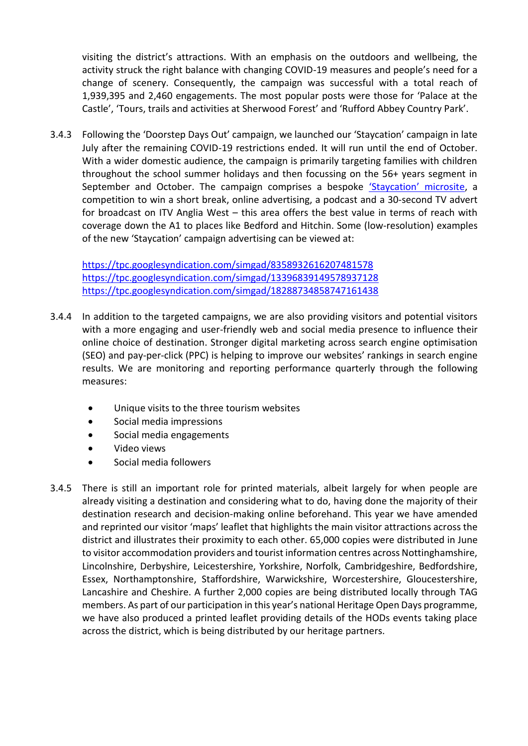visiting the district's attractions. With an emphasis on the outdoors and wellbeing, the activity struck the right balance with changing COVID-19 measures and people's need for a change of scenery. Consequently, the campaign was successful with a total reach of 1,939,395 and 2,460 engagements. The most popular posts were those for 'Palace at the Castle', 'Tours, trails and activities at Sherwood Forest' and 'Rufford Abbey Country Park'.

3.4.3 Following the 'Doorstep Days Out' campaign, we launched our 'Staycation' campaign in late July after the remaining COVID-19 restrictions ended. It will run until the end of October. With a wider domestic audience, the campaign is primarily targeting families with children throughout the school summer holidays and then focussing on the 56+ years segment in September and October. The campaign comprises a bespoke ['Staycation' microsite](https://staycation.visitnewark.co.uk/), a competition to win a short break, online advertising, a podcast and a 30-second TV advert for broadcast on ITV Anglia West – this area offers the best value in terms of reach with coverage down the A1 to places like Bedford and Hitchin. Some (low-resolution) examples of the new 'Staycation' campaign advertising can be viewed at:

<https://tpc.googlesyndication.com/simgad/8358932616207481578> <https://tpc.googlesyndication.com/simgad/13396839149578937128> <https://tpc.googlesyndication.com/simgad/18288734858747161438>

- 3.4.4 In addition to the targeted campaigns, we are also providing visitors and potential visitors with a more engaging and user-friendly web and social media presence to influence their online choice of destination. Stronger digital marketing across search engine optimisation (SEO) and pay-per-click (PPC) is helping to improve our websites' rankings in search engine results. We are monitoring and reporting performance quarterly through the following measures:
	- Unique visits to the three tourism websites
	- Social media impressions
	- Social media engagements
	- Video views
	- Social media followers
- 3.4.5 There is still an important role for printed materials, albeit largely for when people are already visiting a destination and considering what to do, having done the majority of their destination research and decision-making online beforehand. This year we have amended and reprinted our visitor 'maps' leaflet that highlights the main visitor attractions across the district and illustrates their proximity to each other. 65,000 copies were distributed in June to visitor accommodation providers and tourist information centres across Nottinghamshire, Lincolnshire, Derbyshire, Leicestershire, Yorkshire, Norfolk, Cambridgeshire, Bedfordshire, Essex, Northamptonshire, Staffordshire, Warwickshire, Worcestershire, Gloucestershire, Lancashire and Cheshire. A further 2,000 copies are being distributed locally through TAG members. As part of our participation in this year's national Heritage Open Days programme, we have also produced a printed leaflet providing details of the HODs events taking place across the district, which is being distributed by our heritage partners.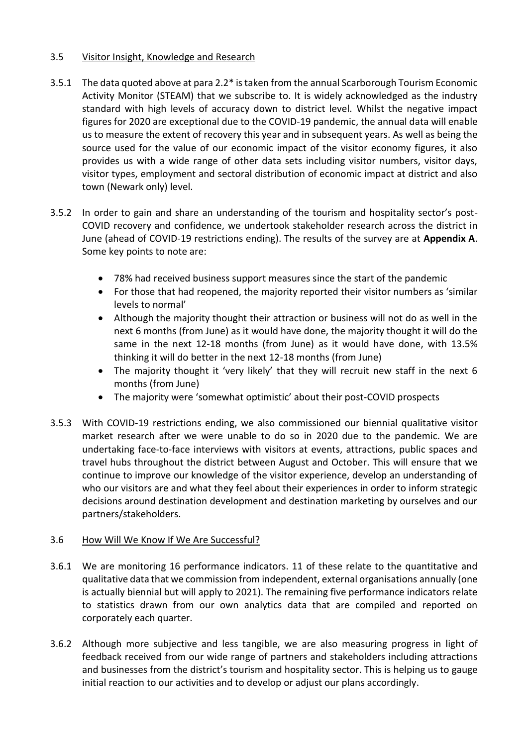# 3.5 Visitor Insight, Knowledge and Research

- 3.5.1 The data quoted above at para 2.2\* istaken from the annual Scarborough Tourism Economic Activity Monitor (STEAM) that we subscribe to. It is widely acknowledged as the industry standard with high levels of accuracy down to district level. Whilst the negative impact figures for 2020 are exceptional due to the COVID-19 pandemic, the annual data will enable us to measure the extent of recovery this year and in subsequent years. As well as being the source used for the value of our economic impact of the visitor economy figures, it also provides us with a wide range of other data sets including visitor numbers, visitor days, visitor types, employment and sectoral distribution of economic impact at district and also town (Newark only) level.
- 3.5.2 In order to gain and share an understanding of the tourism and hospitality sector's post-COVID recovery and confidence, we undertook stakeholder research across the district in June (ahead of COVID-19 restrictions ending). The results of the survey are at **Appendix A**. Some key points to note are:
	- 78% had received business support measures since the start of the pandemic
	- For those that had reopened, the majority reported their visitor numbers as 'similar levels to normal'
	- Although the majority thought their attraction or business will not do as well in the next 6 months (from June) as it would have done, the majority thought it will do the same in the next 12-18 months (from June) as it would have done, with 13.5% thinking it will do better in the next 12-18 months (from June)
	- The majority thought it 'very likely' that they will recruit new staff in the next 6 months (from June)
	- The majority were 'somewhat optimistic' about their post-COVID prospects
- 3.5.3 With COVID-19 restrictions ending, we also commissioned our biennial qualitative visitor market research after we were unable to do so in 2020 due to the pandemic. We are undertaking face-to-face interviews with visitors at events, attractions, public spaces and travel hubs throughout the district between August and October. This will ensure that we continue to improve our knowledge of the visitor experience, develop an understanding of who our visitors are and what they feel about their experiences in order to inform strategic decisions around destination development and destination marketing by ourselves and our partners/stakeholders.

#### 3.6 How Will We Know If We Are Successful?

- 3.6.1 We are monitoring 16 performance indicators. 11 of these relate to the quantitative and qualitative data that we commission from independent, external organisations annually (one is actually biennial but will apply to 2021). The remaining five performance indicators relate to statistics drawn from our own analytics data that are compiled and reported on corporately each quarter.
- 3.6.2 Although more subjective and less tangible, we are also measuring progress in light of feedback received from our wide range of partners and stakeholders including attractions and businesses from the district's tourism and hospitality sector. This is helping us to gauge initial reaction to our activities and to develop or adjust our plans accordingly.